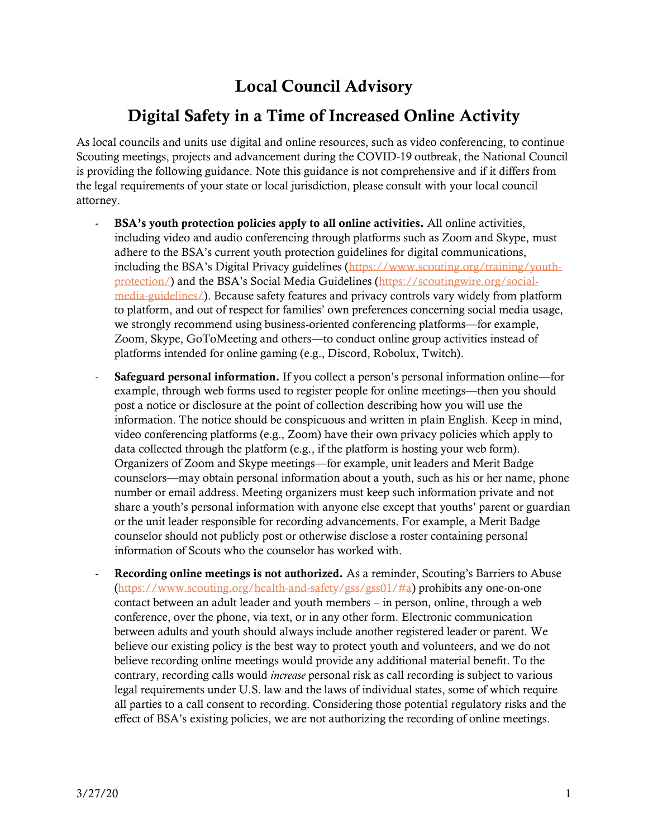## Local Council Advisory

## Digital Safety in a Time of Increased Online Activity

As local councils and units use digital and online resources, such as video conferencing, to continue Scouting meetings, projects and advancement during the COVID-19 outbreak, the National Council is providing the following guidance. Note this guidance is not comprehensive and if it differs from the legal requirements of your state or local jurisdiction, please consult with your local council attorney.

- BSA's youth protection policies apply to all online activities. All online activities, including video and audio conferencing through platforms such as Zoom and Skype, must adhere to the BSA's current youth protection guidelines for digital communications, including the BSA's Digital Privacy guidelines ([https://www.scouting.org/training/youth](https://www.scouting.org/training/youth-protection/)[protection/](https://www.scouting.org/training/youth-protection/)) and the BSA's Social Media Guidelines ([https://scoutingwire.org/social](https://scoutingwire.org/social-media-guidelines/)[media-guidelines/\)](https://scoutingwire.org/social-media-guidelines/). Because safety features and privacy controls vary widely from platform to platform, and out of respect for families' own preferences concerning social media usage, we strongly recommend using business-oriented conferencing platforms—for example, Zoom, Skype, GoToMeeting and others—to conduct online group activities instead of platforms intended for online gaming (e.g., Discord, Robolux, Twitch).
- **Safeguard personal information.** If you collect a person's personal information online—for example, through web forms used to register people for online meetings—then you should post a notice or disclosure at the point of collection describing how you will use the information. The notice should be conspicuous and written in plain English. Keep in mind, video conferencing platforms (e.g., Zoom) have their own privacy policies which apply to data collected through the platform (e.g., if the platform is hosting your web form). Organizers of Zoom and Skype meetings—for example, unit leaders and Merit Badge counselors—may obtain personal information about a youth, such as his or her name, phone number or email address. Meeting organizers must keep such information private and not share a youth's personal information with anyone else except that youths' parent or guardian or the unit leader responsible for recording advancements. For example, a Merit Badge counselor should not publicly post or otherwise disclose a roster containing personal information of Scouts who the counselor has worked with.
- Recording online meetings is not authorized. As a reminder, Scouting's Barriers to Abuse [\(https://www.scouting.org/health-and-safety/gss/gss01/#a\)](https://www.scouting.org/health-and-safety/gss/gss01/#a) prohibits any one-on-one contact between an adult leader and youth members – in person, online, through a web conference, over the phone, via text, or in any other form. Electronic communication between adults and youth should always include another registered leader or parent. We believe our existing policy is the best way to protect youth and volunteers, and we do not believe recording online meetings would provide any additional material benefit. To the contrary, recording calls would *increase* personal risk as call recording is subject to various legal requirements under U.S. law and the laws of individual states, some of which require all parties to a call consent to recording. Considering those potential regulatory risks and the effect of BSA's existing policies, we are not authorizing the recording of online meetings.